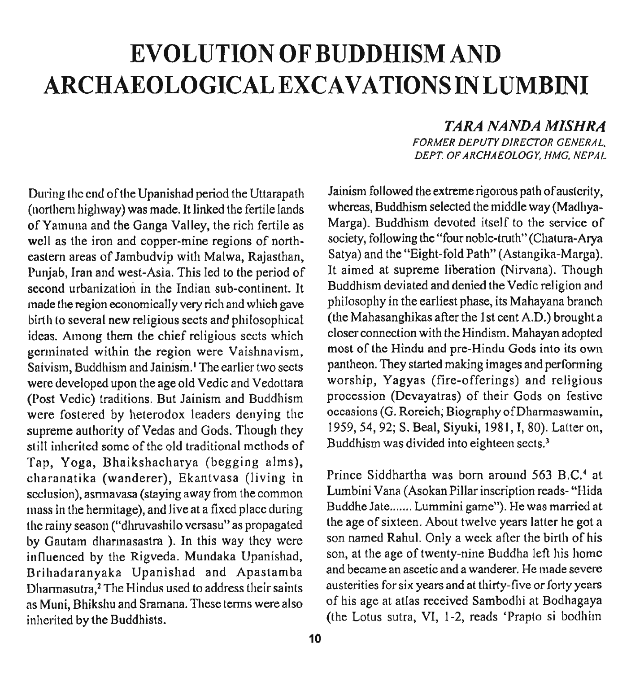# **EVOLUTION OF BUDDHISM AND ARCHAEOLOGICAL EXCAVATIONS IN LUMBINI**

*TARA NANDA MISHKA* 

**FORMER DEPUTY DIRECTOR GENERAL. DEPT. OF ARCHAEOLOGY, HMG, NEPAL** 

During the end of the Upanishad period the Uttarapath Jainism followed the extreme rigorous path of austerity,<br>(northern highway) was made It linked the fertile lands whereas, Buddhism selected the middle way (Madhya-(northern highway) was made. It linked the fertile lands whereas, Buddhism selected the middle way (Madliya-<br>of Yamuna and the Ganga Valley the rich fertile as Marga). Buddhism devoted itself to the service of of Yamuna and the Ganga Valley, the rich fertile as Marga). Buddhism devoted itself to the service of well as the iron and conner-mine regions of north-society, following the "four noble-truth" (Chatura-Arva well as the iron and copper-mine regions of north-<br>eastern areas of Jambudyin with Malwa, Rajasthan. Satya) and the "Eight-fold Path" (Astangika-Marga). eastern areas of Jambudvip with Malwa, Rajasthan, Satya) and the "Eight-fold Path" (Astangika-Marga).<br>Puniab, Iran and west-Asia. This led to the neriod of It aimed at supreme liberation (Nirvana). Though Punjab, Iran and west-Asia. This led to the period of second urbanization in the Indian sub-continent. It Buddhism deviated and denied the Vedic religion and<br>made the region economically very rich and which gave philosophy in the earliest phase, its Mahayana branch made the region economically very rich and which gave philosophy in the earliest phase, its Mahayana branch<br>birth to several new religious sects and philosophical (the Mahasanghikas after the 1st cent A.D.) brought a birth to several new religious sects and philosophical (the Mahasanghikas after the 1st cent A.D.) brought a<br>ideas. Among them the chief religious sects which closer connection with the Hindism. Mahayan adopted ideas. Among them the chief religious sects which closer connection with the Hindism. Mahayan adopted<br>germinated within the region were Vaishnavism most of the Hindu and pre-Hindu Gods into its own germinated within the region were Vaishnavism, most of the Hindu and pre-Hindu Gods into its own<br>Saivism, Buddhism and Jainism, The earlier two sects pantheon. They started making images and performing Saivism, Buddhism and Jainism.' The earlier two sects pantheon. They started making images and performing<br>were developed upon the age old Vedic and Vedottara worship, Yagyas (fire-offerings) and religious were developed upon the age old Vedic and Vedottara (Post Vedic) traditions. But Jainism and Buddhism procession (Devayatras) of their Gods on festive<br>were fostered by heterodox leaders denving the occasions (G. Roreich, Biography of Dharmaswamin, were fostered by heterodox leaders denying the occasions (G. Roreich, Biography of Dharmaswamin,<br>supreme authority of Vedas and Gods. Though they 1959, 54, 92; S. Beal, Siyuki, 1981, I, 80). Latter on, supreme authority of Vedas and Gods. Though they  $1959, 54, 92$ ; S. Beal, Siyuki, 1981, I, 80).<br>
still inherited some of the old traditional methods of Buddhism was divided into eighteen sects.<sup>3</sup> still inherited some of the old traditional methods of Tap, Yoga, Bhaikshacharya (begging alms), charanatika (wanderer), Ekantvasa (living in Prince Siddhartha was born around 563 B.C.<sup>4</sup> at seclusion) asmuayasa (staving away from the common Lumbini Vana (Asokan Pillar inscription reads-"Hida seclusion), asniavasa (staying away from the common Lumbini Vana (Asokan Pillar inscription reads- "Hida<br>mass in the hermitage), and live at a fixed place during Buddhe Jate....... Lummini game"). He was married at niass in the hermitage), and live at a fixed place during Buddhe Jate....... Lummini game"). He was married at<br>the rainy season ("dhruvashilo versasu" as propagated the age of sixteen. About twelve years latter he got a the rainy season ("dhruvashilo versasu" as propagated the age of sixteen. About twelve years latter he got a<br>In this way they were son named Rahul. Only a week after the birth of his by Gautam dharmasastra ). In this way they were son named Rahul. Only a week after the birth of his influenced by the Rigyeda Mundaka Unanishad son, at the age of twenty-nine Buddha left his home influenced by the Rigveda. Mundaka Upanishad, son, at the age of twenty-nine Buddha left his home<br>Rrihadaranyaka, Upanishad, and Apastamba and became an ascetic and a wanderer. He made severe Brihadaranyaka Upanishad and Apastamba and became an ascetic and a wanderer. He made severe<br>Dharmasutra <sup>2</sup> The Hindus used to address their saints austerities for six years and at thirty-five or forty years Dharmasutra,<sup>2</sup> The Hindus used to address their saints austerities for six years and at thirty-five or forty years<br>as Muni, Bhikshu and Stamana. These terms were also of his age at atlas received Sambodhi at Bodhagaya as Muni, Bhikshu and Sramana. These terms were also inherited by the Buddhists. (the Lotus sutra, VI, 1-2, reads 'Prapio si bodhim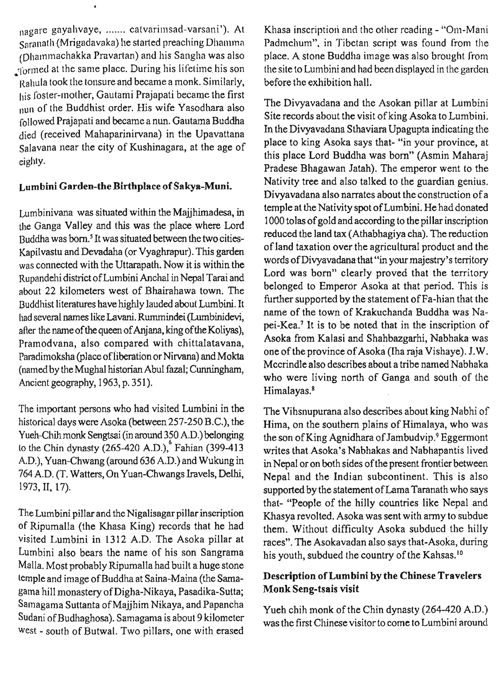nagare gayahvaye, ....... catvarimsad-varsani'). At Saranatlı (Mrigadavaka) he started preaching Dhamma (Dhammachakka Pravartan) and his Sangha was also formed at the same place. During his lifetime his son Rahula took the tonsure and became a monk. Similarly, his foster-mother, Gautami Prajapati became the first nun of the Buddhist order. His wife Yasodhara also followed Prajapati and became a nun. Gautama Buddha died (received Mahaparinirvana) in the Upavattana Salavana near the city of Kushinagara, at the age of eighty.

#### **Lumbini Garden-the Birthplace of Sakya-Muni.**

Lumbinivana was situated within the Majjhimadesa, in tile Ganga Valley and this was the place where Lord Buddha was born? It was situated between the two cities-Kapilvastu and Devadaha (or Vyaghrapur). This garden was connected with the Uttarapath. Now it is within the Rupandehi district of Lumbini Anchal in Nepal Tarai and about 22 kilometers west of Bhairahawa town. The Buddhist literatures have highly lauded about Lumbini. It had several names like Lavani. Rummindei (Lumbinidevi, after the name of the queen of Anjana, king of the Koliyas), Pramodvana, also compared with chittalatavana, Paradimoksha (place of liberation or Nirvana) and **Mokta**  (named by the Mughal historian Abul fazal; Cunningham, Ancient geography, 1963, p. 351).

The important persons who had visited Lumbini in the historical days were Asoka (between 257-250 B.C.), the Yueh-Chih monk Sengtsai (in around 350 A.D.) belonging to the Chin dynasty (265-420 A.D.), Fahian (399-413 A.D.), Yuan-Chwang (around 636 A.D.) and Wukung in 764 A.D. (T. Watters, On Yuan-Chwangs Iravels, Delhi, 1973,II, 17).

The Lumbini pillar and the Nigalisagar pillar inscription of Ripumalla (the Khasa King) records that he had visited Lumbini in 1312 A.D. The Asoka pillar at Lumbini also bears the name of his son Sangrama Malla. Most probably Ripumalla had built a huge stone temple and image of Buddha at Saina-Maina (the Samagama hill monastery of Digha-Nikaya, Pasadika-Sutta; Samagama Suttanta of Majjhim Nikaya, and Papancha Sudani of Budhaghosa). Samagama is about 9 kilometer west - south of Butwal. Two pillars, one with erased

Khasa inscription and the other reading - "Om-Mani Padmehum", in Tibetan script was found from the place. A stone Buddha image was also brought from the site to Lumbini and had been displayed in the garden before the exhibition hall.

The Divyavadana and the Asokan pillar at Lumbini Site records about the visit of king Asoka to Lumbini. In the Divyavadana Sthaviara Upagupta indicating the place to king Asoka says that- "in your province, at this place Lord Buddha was born" (Asmin Maharaj Pradese Bhagawan Jatah). The emperor went to the Nativity tree and also talked to the guardian genius. Divyavadana also narrates about the construction of a temple at the Nativity spot of Lumbini. He had donated 1000 tolas of gold and according to the pillar inscription reduced the land **tax** (Athabhagiya cha). The reduction of land taxation over the agricultural product and the words of Divyavadana that "in your majestry's territory Lord was born" clearly proved that the territory belonged to Emperor Asoka at that period. This is further supported by the statement of Fa-hian that the name of the town of Krakuchanda Buddha was Napei-Kea.' It is to be noted that in the inscription of Asoka from Kalasi and Shahbazgarhi, Nabhaka was one of the province of Asoka (Iha raja Vishaye). J.W. Mccrindle also describes about a tribe named Nabhaka who were living north of Ganga and south of the Himalayas.<sup>8</sup>

The Vihsnupurana also describes about king Nabhi of Hima, on the southern plains of Himalaya, who was the son of King Agnidhara of Jambudvip.<sup>9</sup> Eggermont writes that Asoka's Nabhakas and Nabhapantis lived in Nepal or on both sides of the present frontier between Nepal and the Indian subcontinent. This is also supported by the statement of Lama Taranath who says that- "People of the hilly countries like Nepal and Khasya revolted. Asoka was sent with army to subdue them. Without difficulty Asoka subdued the hilly races". The Asokavadan also says that-Asoka, during his youth, subdued the country of the Kahsas.<sup>10</sup>

## **Description of Lumbini by the Chinese Travelers Monk Seng-tsais visit**

Yueh chih monk of the Chin dynasty (264-420 A.D.) was the first Chinese visitor to come to Lumbini around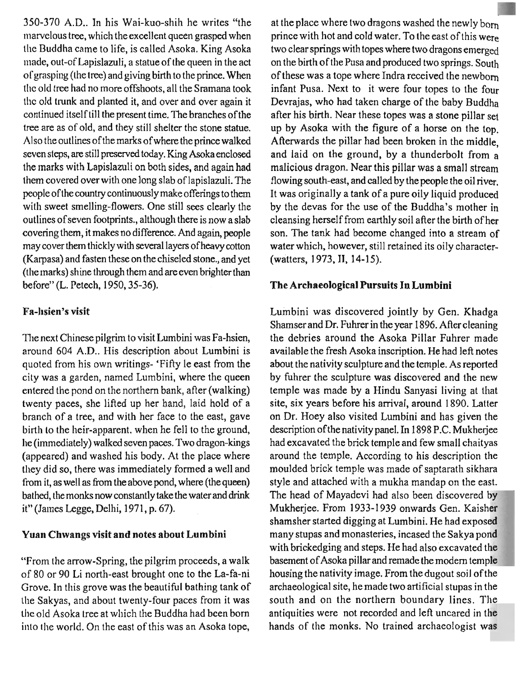350-370 A.D.. In his Wai-kuo-shih he writes "the lnarvelous tree, which the excellent queen grasped when tlle Buddha came to life, is called Asoka. King Asoka made, out-of lapislazuli, a statue of the queen in the act ol'grasping (the tree) and giving birth to the prince. When tlic old tree had no more offshoots, all the Sramana took the old trunk and planted it, and over and over again it continued itself till the present time. The branches of the tree are as of old, and they still shelter the stone statue. Also the outlines of the marks ofwhere the prince walked seven steps, are still preserved today. King Asoka enclosed the marks with Lapislazuli on both sides, and again had them covered over with one long slab of lapislazuli. The people of the country continuously make offerings to them with sweet smelling-flowers. One still sees clearly the outlines of seven footprints., although there is now a slab covering them, it makes no difference. And again, people may cover them thickly with several layers of heavy cotton (Karpasa) and fasten these on the chiseled stone., and yet (the marks) shine through them and are even brighter than before" (L. Petech, 1950,35-36).

#### **Fa-lisien's visit**

The next Chinese pilgrim to visit Lumbini was Fa-hsien, around 604 A.D.. His description about Lumbini is quoted from his own writings- 'Fifty le east from the city was a garden, named Lumbini, where the queen entered the pond on the northern bank, after (walking) twenty paces, she lifted up her hand, laid hold of a branch of a tree, and with her face to the east, gave birth to the heir-apparent. when he fell to the ground, he (immediately) walked seven paces. Two dragon-kings (appeared) and washed his body. At the place where they did so, there was immediately formed a well and from it, as well as from the above pond, where (the queen) bathed, the monks now constantly take the water and drink it" (James Legge, Delhi, 1971, p. 67).

#### **Yuan Chwangs visit and notes about Lumbini**

"From the arrow-Spring, the pilgrim proceeds, a walk of 80 or 90 Li north-east brought one to the La-fa-ni Grove. In this grove was the beautiful bathing tank of tlle Sakyas, and about twenty-four paces from it was the old Asoka tree at which the Buddha had been born into the world. On the east of this was an Asoka tope, at the place where two dragons washed the newly born prince with hot and cold water. To the east of this were two clear springs with topes where two dragons emerged on the birth of the Pusa and produced two springs. South of these was a tope where Indra received the newborn infant Pusa. Next to it were four topes to the four Devrajas, who had taken charge of the baby Buddha after his birth. Near these topes was a stone pillar set up by Asoka with the figure of a horse on the top. Afterwards the pillar had been broken in the middle. and laid on the ground, by a thunderbolt from a malicious dragon. Near this pillar was a small stream flowing south-east, and called by the people the oil river. It was originally a tank of a pure oily liquid produced by the devas for the use of the Buddha's mother in cleansing herself from earthly soil after the birth of her son. The tank had become changed into a stream of water which, however, still retained its oily character- (watters, 1973, II, 14-15).

#### **The Archaeological Pursuits In Lumbini**

Lumbini was discovered jointly by Gen. Khadga Shamser and Dr. Fuhrer in the year 1896. After cleaning the debries around the Asoka Pillar Fuhrer made available the fresh Asoka inscription. He had left notes about the nativity sculpture and the temple. As reported by fuhrer the sculpture was discovered and the new temple was made by a Hindu Sanyasi living at that site, six years before his arrival, around 1890. Latter on Dr. Hoey also visited Lumbini and has given the description ofthe nativity panel. In 1898 P.C. Mukherjee had excavated the brick temple and few small chaityas around the temple. According to his description the moulded brick temple was made of saptarath sikhara style and attached with a mukha mandap on the east. The head of Mayadevi had also been discovered by Mukherjee. From 1933-1939 onwards Gen. Kaisher shamsher started digging at Lumbini. He had expose many stupas and monasteries, incased the Sakya por with brickedging and steps. He had also excavated the basement of Asoka pillar and remade the modern temp housing the nativity image. From the dugout soil of the archaeological site, he made two artificial stupas in the south and on the northern boundary lines. The antiquities were not recorded and left uncared in the hands of the monks. No trained archaeologist was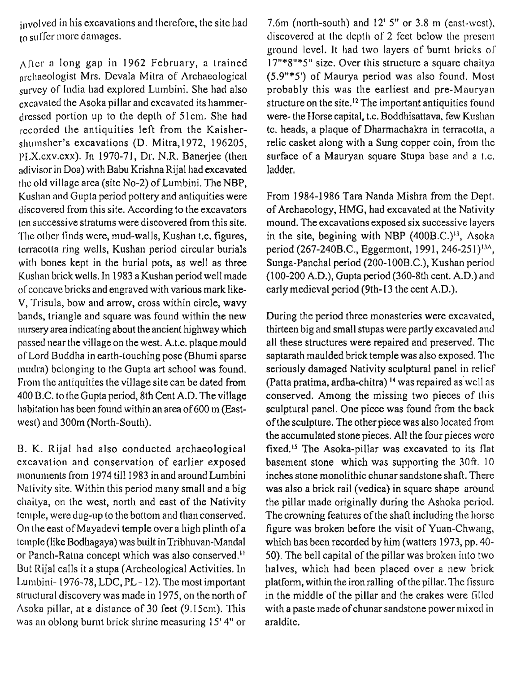involved in his excavations and therefore, the site had  $\overline{\text{to}}$  suffer more damages.

 $\Lambda$  (ter a long gap in 1962 February, a trained archaeologist Mrs. Devala Mitra of Archaeological survey of India had explored Lumbini. She had also excavated the Asoka pillar and excavated its hammer- (lrcsscd portion up lo the depth of 51cm. She had recorded the antiquities left from the Kaishershumsher's excavations (D. Mitra, 1972, 196205, PLX.cxv.cxx). In 1970-71, Dr. N.R. Banerjee (then adivisor in Doa) with Babu Krishna Rijal had excavated the old village area (site No-2) of Lumbini. The NBP, Kusllan and Gupta period pottery and antiquities were discovered from this site. According to the excavators tcn successive stratums were discovered from this site. The other finds were, mud-walls, Kushan t.c. figures, tcrracotta ring wells, Kushan period circular burials with bones kept in the burial pots, as well as three Kushan brick wells. In 1983 a Kushan period well made of concave bricks and engraved with various mark like-V, 'Frisula, bow and arrow, cross within circle, wavy bands, triangle and square was found within the new nursery area indicating about the ancient highway which passed near the village on the west. A.t.c. plaque mould of Lord Buddha in earth-touching pose (Bhumi sparse mudra) belonging to the Gupta art school was found. 17rom the antiquities the village site can be dated from 400 B.C. to the Gupta period, 8th Cent A.D. The village habitation has been found within an area of 600 m (Eastwest) and 300m (North-South).

**13.** K. Rijal had also conducted archaeological cxcavation and conservation of earlier exposed monuments from 1974 till 1983 in and around Lumbini Nalivity site. Within this period many small and a big chaitya, on the west, north and east of the Nativity Icmple, were dug-up to the bottom and than conserved. 011 the east of Mayadevi temple over a high plinth of a tcmple (like Bodhagaya) was built in Tribhuvan-Mandal or Panch-Ratna concept which was also conserved.<sup>11</sup> But Rijal calls it a stupa (Archeological Activities. In Lumbini- 1976-78, LDC, PL- 12). The most important structural discovery was made in 1975, on the north of Asoka pillar, at a distance of 30 feet (9.15cm). This was an oblong burnt brick shrine measuring 15' 4" or

7.6m (north-south) and  $12'$  5" or 3.8 m (east-west),  $t$ liscovered at the depth of 2 feet below the present ground level. It had two layers of burnt bricks ol' 17"\*8"\*5" size. Over this structure a square chaitya (5.9"\*5') of Maurya period was also found. Most probably this was the earliest and pre-Mauryan structure on the site.<sup>12</sup> The important antiquities found were- the Horse capital, t.c. Boddhisattava, few Kushan tc. heads, a plaque of Dharmachakra in terracotta, a relic casket along with a Sung copper coin, from Ihc surface of a Mauryan square Stupa base and a t.c. ladder.

From 1984-1986 Tara Nanda Mishra from the Dept. of Archaeology, **IIMG,** had excavated at the Nativity mound. The excavations exposed six successive layers in the site, begining with NBP  $(400B.C.)^{13}$ , Asoka period (267-240B.C., Eggermont, 1991, 246-251)<sup>134</sup>, Sunga-Panchal period (200-100B.C.), Kushan period (100-200 A.D.), Gupta period (360-8th cent. A.D.) and early medieval period (9th-13 the cent A.D.).

During the period three monasteries were excavated, thirteen big and small stupas were partly excavated and all these structures were repaired and preserved. The saptarath maulded brick temple was also exposed. The seriously damaged Nativity sculptural panel in relicf (Patta pratima, ardha-chitra) l4 was repaired as wcll as conserved. Among the missing two pieces of this sculptural panel. One piece was found from the back of the sculpture. The other piece was also located from the accumulated stone pieces. All the four pieces wcrc fixed.<sup>15</sup> The Asoka-pillar was excavated to its flat basement stone which was supporting the 30ft. 10 inches stone monolithic chunar sandstone shaft. There was also a brick rail (vedica) in square shape around the pillar made originally during the Ashoka period. The crowning features of the shaft including the horsc figure was broken before the visit of Yuan-Chwang, which has been recorded by him (watters 1973, pp. 40- 50). The bell capital of the pillar was broken into two halves, which had been placed over a new brick platform, within the iron ralling of the pillar. The fissure in the middle of the pillar and the crakes were filled with a paste made of chunar sandstone power mixcd in araldite.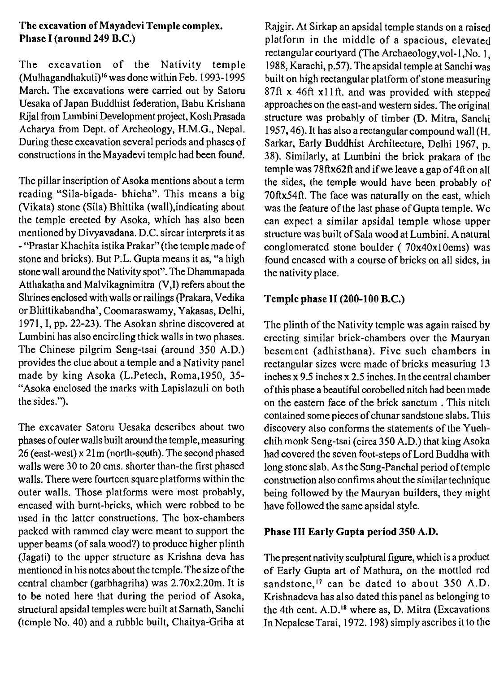#### **The excavation of Mayadevi Temple complex. Pllase I (around 249 B.C.)**

'The excavation of the Nativity temple (Mulhagandhakuti)<sup>16</sup> was done within Feb. 1993-1995 March. The excavations were carried out by Satoru Uesaka of Japan Buddhist federation, Babu Krisliana Rijal from Lumbini Development project, Kosh Prasada Acharya from Dept. of Archeology, H.M.G., Nepal. During these excavation several periods and phases of constructions in the Mayadevi temple had been found.

The pillar inscription of Asoka mentions about a term reading "Sila-bigada- bhicha". This means a big (Vikata) stone (Sila) Bhittika (wall),indicating about tlie temple erected by Asoka, which has also been mentioned by Divyavadana. D.C. sircar interprets it as - "Prastar Khachita istika Prakar" (the temple made of stone and bricks). But P.L. Gupta means it as, "a high stone wall around the Nativity spot". The Dhammapada Attliakatha and Malvikagnimitra (V,I) refers about the Shrines enclosed with walls or railings (Prakara, Vedika or Bliittikabandha', Coomaraswamy, Yakasas, Delhi, 1971, I, pp. 22-23). The Asokan shrine discovered at Lumbini has also encircling thick walls in two phases. The Cliinese pilgrim Seng-tsai (around 350 A.D.) provides the clue about a temple and a Nativity panel made by king Asoka (L.Petech, Roma, 1950, 35-"Asoka enclosed the marks with Lapislazuli on both the sides.").

The excavater Satoru Uesaka describes about two phases ofouter walls built around the temple, measuring 26 (east-west) x 21 m (north-south). The second phased walls were 30 to 20 cms. shorter than-the first phased walls. There were fourteen square platforms within the outer walls. Those platforms were most probably, encased with burnt-bricks, which were robbed to be used in the latter constructions. The box-chambers packed with rammed clay were meant to support the upper beams (of sala wood?) to produce higher plinth (Jagati) to the upper structure as Krishna deva has mentioned in his notes about the temple. The size of the central chamber (garbhagriha) was 2.70x2.20m. It is to be noted here that during the period of Asoka, structural apsidal temples were built at Sarnath, Sanchi (temple No. 40) and a rubble built, Chaitya-Griha at

Rajgir. At Sirkap an apsidal temple stands on a raised platform in the middle of a spacious, elevated rectangular courtyard (The Archaeology, vol-1, No. 1, 1988, Karachi, p.57). The apsidal temple at Sanclii was built on high rectangular platform of stone measuring 87ft x 46ft xl lft. and was provided with stepped approaches on the east-and western sides. The original structure was probably of timber (D. Mitra, Sanchi 1957, 46). It has also a rectangular compound wall (H. Sarkar, Early Buddhist Architecture, Delhi 1967, **p. 38).** Similarly, at Lumbini the brick prakara of thc temple was 78ftx62ft and if we leave a gap of **41t** on all the sides, the temple would have been probably of 70ftx54ft. The face was naturally on the east, which was the feature of the last phase of Gupta temple. Wc can expect a similar apsidal temple whose upper structure was built of Sala wood at Lumbini. **A** natural conglomerated stone boulder ( 70x40x10cms) was found encased with a course of bricks on all sides, in the nativity place.

## **Temple phase I1 (200-100 B.C.)**

The plinth of the Nativity temple was again raised by erecting similar brick-chambers over the Mauryan besement (adhisthana). Five such chambers in rectangular sizes were made of bricks measuring 13 inches x 9.5 inches x 2.5 inches. In the central chamber of this phase a beautiful corobelled nitch had been made on the eastern face of the brick sanctum. This nitch contained some pieces of chunar sandstone slabs. This discovery also conforms the statements of the Yuehchih monk Seng-tsai (circa 350 A.D.) that king Asoka had covered the seven foot-steps of Lord Buddha with long stone slab. As the Sung-Panchal period of temple construction also confirms about the similar technique being followed by the Mauryan builders, they might have followed the same apsidal style.

## **Phase 111 Early Gupta period 350 A.D.**

The present nativity sculptural figure, which is a product of Early Gupta art of Mathura, on the mottled red sandstone,<sup>17</sup> can be dated to about  $350$  A.D. Krishnadcva lias also dated this panel as belonging to the 4th cent. A.D.<sup>18</sup> where as, D. Mitra (Excavations In Nepalese Tarai, 1972. 198) simply ascribes it to the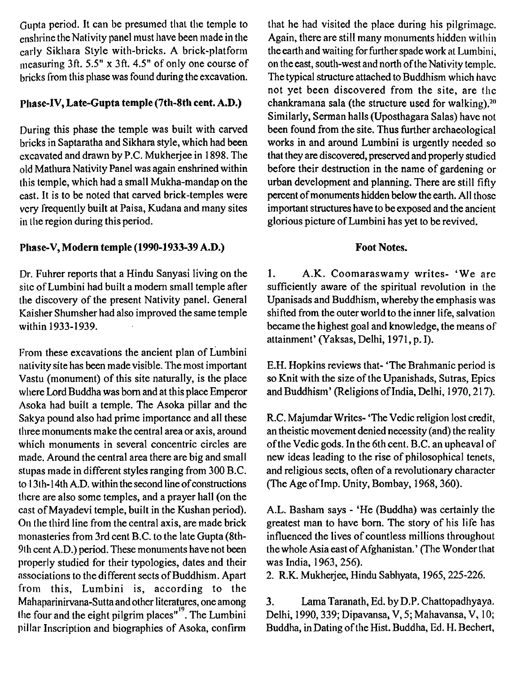Gupta period. It can be presumed that the temple to enshrine the Nativity panel must have been made in the early Sikliara Style with-bricks. A brick-platforin measuring 3ft.  $5.5"$  x 3ft.  $4.5"$  of only one course of bricks from this phase was found during the excavation.

#### Pliase-IV, Late-Gupta temple (7th-8th cent. A.D.)

During this phase the temple was built with carved bricks in Saptaratha and Sikhara style, which had been cxcavated and drawn by P.C. Mukherjee in 1898. The old Mathura Nativity Panel was again enshrined within this temple, which had a small Mukha-mandap on the cast. It is to be noted that carved brick-temples were vcry frequently built at Paisa, Kudana and many sites in the region during this period.

## Phase-V, Modern temple (1990-1933-39 A.D.)

Dr. Fuhrer reports that a Hindu Sanyasi living on the sitc of Lumbini had built a modern small temple after the discovery of the present Nativity panel. General Kaisher Shumsher had also improved the same temple within 1933-1939.

From these excavations the ancient plan of Lumbini nativity site has been made visible. The most important Vastu (monument) of this site naturally, is the place where Lord Buddha was born and at this place Emperor Asoka had built a temple. The Asoka pillar and the Sakya pound also had prime importance and all these three monuments make the central area or axis, around which monuments in several concentric circles are made. Around the central area there are big and small stupas made in different styles ranging from 300 B.C. lo 13th- 14th A.D. within the second line of constructions tlicre are also some temples, and a prayer hall (on the cast of Mayadevi temple, built in the Kushan period). On the third line from the central axis, are made brick monasteries from 3rd cent B.C. to the late Gupta (8th-9th cent A.D.) period. These monuments have not been properly studied for their typologies, dates and their associations to the different sects of Buddhism. Apart from this, Lumbini is, according to the Mahaparinirvana-Sutta and other literatures, one among the four and the eight pilgrim places"<sup>19</sup>. The Lumbini pillar Inscription and biographies of Asoka, confirm

that he had visited the place during his pilgrimage. Again, there are still many monuments hidden within the earth and waiting for further spade work at Lumbini, on the east, south-west and north ofthe Nativity temple. The typical structure attached to Buddhism which havc not yet been discovered from the site, are the chankramana sala (the structure used for walking). $20$ Similarly, Serman halls (Uposthagara Salas) have not been found from the site. Thus further archaeological works in and around Lumbini is urgently needed so that they are discovered, preserved and properly studied before their destruction in the name of gardening or urban development and planning. There are still fifty percent of monuments hidden below the earth. All thosc important structures have to be exposed and the ancient glorious picture of Lumbini has yet to be revived.

#### Foot Notes.

**1.** A.K. Coomaraswamy writes- 'We arc sufficiently aware of the spiritual revolution in the Upanisads and Buddhism, whereby the emphasis was shifted from the outer world to the inner life, salvation became the highest goal and knowledge, the means of attainment' (Yaksas, Delhi, 1971, p. I).

E.H. Hopkins reviews that- 'The Brahmanic period is so Knit with the size of the Upanishads, Sutras, Epics and Buddhism' (Religions of India, Delhi, 1970, 217).

R.C. Majumdar Writes- 'The Vedic religion lost credit, an theistic movement denied necessity (and) the reality of the Vedic gods. In the 6th cent. B.C. an upheaval of new ideas leading to the rise of philosophical tenets, and religious sects, often of a revolutionary character (The Age of Imp. Unity, Bombay, 1968, 360).

A.L. Basham says - 'He (Buddha) was certainly the greatest man to have born. The story of his life has influenced the lives of countless millions throughout the whole Asia east of Afghanistan.' (The Wonder that was India, 1963, 256).

2. R.K. Mukherjee, Hindu Sabhyata, 1965,225-226.

**3.** Lama Taranath, Ed. by D.P. Chattopadhyaya. Delhi, 1990,339; Dipavansa, V, 5; Mahavansa, V, 10; Buddha, in Dating of the Hist. Buddha, Ed. H. Bechert,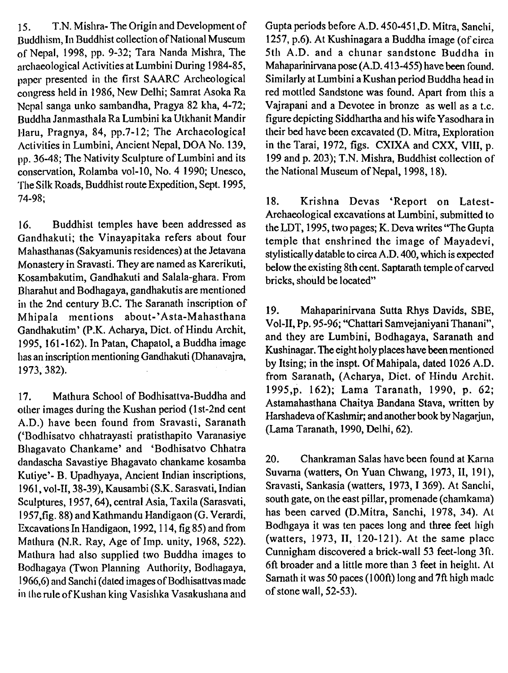15. T.N. Mishra- The Origin and Development of Buddhism, In Buddhist collection of National Museum of Nepal, 1998, pp. 9-32; Tara Nanda Mishra, The archaeological Activities at Lumbini During 1984-85, paper presented in the first SAARC Archeological congress held in 1986, New Delhi; Samrat Asoka Ra Ncpal sanga unko sambandha, Pragya 82 kha, 4-72; Buddha Janmasthala Ra Lumbini ka Utkhanit Mandir I-Iaru, Pragnya, 84, pp.7-12; The Archaeological Activities in Lumbini, Ancient Nepal, DOA No. 139, pp. 36-48; The Nativity Sculpture of Lumbini and its conservation, Rolamba vol-10, No. 4 1990; Unesco, 'Tlie Silk Roads, Buddhist route Expedition, Sept. 1995, 74-98;

16. Buddhist temples have been addressed as Gandhakuti; the Vinayapitaka refers about four Mahasthanas (Sakyamunis residences) at the Jetavana Monastery in Sravasti. They are named as Karerikuti, Kosambakutim, Gandhakuti and Salala-ghara. From Bharahut and Bodhagaya, gandhakutis are mentioned in the 2nd century B.C. The Saranath inscription of Mhipala mentions about-'Asta-Mahasthana Gandhakutim' (P.K. Acharya, Dict. of Hindu Archit, 1995,161-162). In Patan, Chapatol, a Buddha image has an inscription mentioning Gandhakuti (Dhanavajra, 1973, 382).

17. Mathura School of Bodhisattva-Buddha and other images during the Kushan period (1 st-2nd cent A.D.) have been found from Sravasti, Saranath ('Bodhisatvo chhatrayasti pratisthapito Varanasiye Bhagavato Chankame' and 'Bodhisatvo Chhatra dandascha Savastiye Bhagavato chankame kosamba Kutiye'- B. Upadhyaya, Ancient Indian inscriptions, 1961, vol-II,38-39), Kausambi (S.K. Sarasvati, Indian Sculptures, 1957,64), central Asia, Taxila (Sarasvati, 1957,fig. 88) and Kathmandu Handigaon (G. Verardi, Excavations In Handigaon, 1992,114, fig 85) and from Mathura (N.R. Ray, Age of Imp. unity, 1968, 522). Matliura had also supplied two Buddha images to I3odliagaya (Twon Planning Authority, Bodhagaya, 1966,G) and Sanchi (dated images of Bodhisattvas made in the rule of Kushan king Vasishka Vasakushana and Gupta periods before A.D. 450-45 1 ,D. Mitra, Sanchi, 1257, p.6). At Kushinagara a Buddha image (of circa 5th A.D. and a chunar sandstone Buddha in Mahaparinirvana pose (A.D. 413-455) have been found. Similarly at Lumbini a Kushan period Buddha head in red mottled Sandstone was found. Apart from this a Vajrapani and a Devotee in bronze as well as a t.c. figure depicting Siddhartha and his wife Yasodhara in their bed have been excavated (D. Mitra, Exploration in the Tarai, 1972, figs. CXIXA and CXX, VIII, p. 199 and p. 203); T.N. Mishra, Buddhist collection of the National Museum of Nepal, 1998, 18).

18. Krishna Devas 'Report on Latest-Archaeological excavations at Lumbini, submitted to the LDT, 1995, two pages; K. Deva writes "The Gupta temple that enshrined the image of Mayadevi, stylistically datable to circa A.D. 400, which is expected below the existing 8th cent. Saptarath temple of carved bricks, should be located"

19. Mahaparinirvana Sutta Rhys Davids, SBE, Vol-11, Pp. 95-96; "Chattari Samvejaniyani Thanani", and they are Lumbini, Bodhagaya, Saranath and Kushinagar. The eight holy places have been mentioned by Itsing; in the inspt. Of Mahipala, dated 1026 A.D. from Saranath, (Acharya, Dict. of Hindu Archit. 1995,p. 162); Lama Taranath, 1990, p. 62; Astamahasthana Chaitya Bandana Stava, written by Harshadeva of Kaslmir; and another book by Nagarjun, (Lama Taranath, 1990, Delhi, 62).

20. Chankraman Salas have been found at Karna Suvarna (watters, On Yuan Chwang, 1973, II, 191), Sravasti, Sankasia (watters, 1973, I 369). At Sanchi, south gate, on the east pillar, promenade (chamkama) has been carved (D.Mitra, Sanchi, 1978, 34). **A1**  Bodhgaya it was ten paces long and three feet high (watters, 1973, 11, 120-121). At the same placc Cunnigham discovered a brick-wall 53 feet-long 3ft. 6ft broader and a little more than 3 feet in height. **A1**  Sarnath it was 50 paces (100ft) long and 7ft high madc of stone wall, 52-53).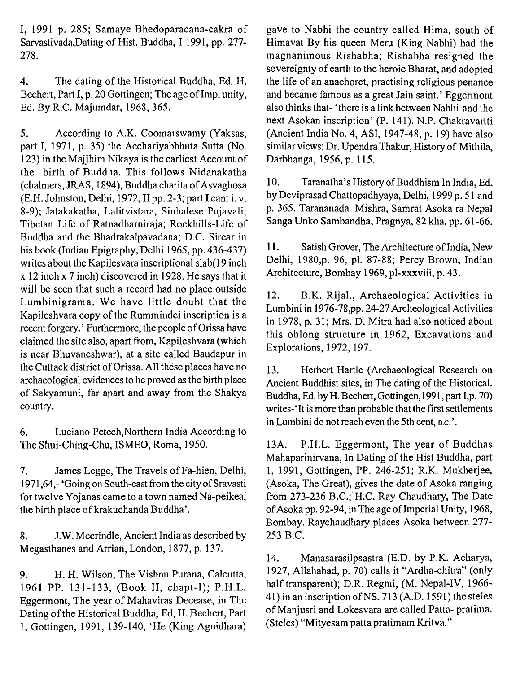I, 1991 p. 285; Samaye Bhedoparacana-cakra of Sarvastivada,Dating of Hist. Buddha, I 1991, pp. 277- 278.

4. The dating of the Historical Buddha, Ed. H. Bcchert, Part I, p. 20 Gottingen; The age of Imp. unity, Ed. By R.C. Majumdar, 1968,365.

5. According to A.K. Coomarswamy (Yaksas, part I, 1971, p. 35) the Acchariyabbhuta Sutta (No. 123) in the Majjhim Nikaya is the earliest Account of the birth of Buddha. This follows Nidanakatha (chalmers, JRAS, 1 894), Buddha charita of Asvaghosa (E.H. Johnston, Delhi, 1972, II pp. 2-3; part I cant i. v. 8-9); Jatakakatha, Lalitvistara, Sinhalese Pujavali; Tibetan Life of Ratnadharniraja; Rockhills-Life of Buddha and tlie Bhadrakalpavadana; D.C. Sircar in his book (Indian Epigraphy, Delhi 1965, pp. 436-437) writes about the Kapilesvara inscriptional slab(19 inch x 12 inch x 7 inch) discovered in 1928. He says that it will be seen that such a record had no place outside<br>
Lumbinigrama. We have little doubt that the<br>
Kapileshvara copy of the Rummindei inscription is a<br>
recent forgery.' Furthermore, the people of Orissa have<br>
claimed the s the Cuttack district of Orissa. All these places have no archaeological evidences to be proved as the birth place of Sakyarnuni, far apart and away from the Shakya country.

6. Luciano Petech,Northern India According to The Shui-Ching-Chu, ISMEO, Roma, 1950.

7. James Legge, The Travels of Fa-hien, Delhi, 1971,64,- 'Going on South-east from the city of Sravasti for twelve Yojanas came to a town named Na-peikea, the birth place of krakuchanda Buddha'.

8. J.W. Mccrindle, Ancient India as described by Megasthanes and Arrian, London, 1877, p. 137.

9: H. H. Wilson, The Vishnu Purana, Calcutta, 1961 PP. 131-133, (Book 11, cliapt-I); P.H.L. Eggermont, The year of Mahaviras Decease, in The Dating of the Historical Buddha, Ed, H. Bechert, Part 1, Gottingen, 1991, 139-140, 'He (King Agnidhara) gave to Nabhi the country called Hima, south of Himavat By his queen Meru (King Nabhi) had the magnanimous Rishabha; Rishabha resigned tlie sovereignty of earth to the heroic Bharat, and adopted the life of an anachoret, practising religious penance and became famous as a great Jain saint.' Eggermont also thinks that- 'there is a link between Nabhi-and the next Asokan inscription' (P. 141). N.P. Chakravarlti (Ancient lndia No. 4, ASI, 1947-48, p. 19) have also similar views; Dr. Upendra Thakur, History of Mithila, Darbhanga, 1956, p. 115.

10. Taranatha's History of Buddhism In India, Ed. by Deviprasad Chattopadhyaya, Delhi, 1999 p. 5 1 and p. 365. Tarananada Mishra, Samrat Asoka ra Nepal Sanga Unko Sambandha, Pragnya, 82 kha, pp. 6 1-66.

11. Satish Grover, The Architecture of India, New Delhi, 1980,p. 96, pl. 87-88; Percy Brown, Indian Architecture, Bombay 1969, pl-xxxviii, p. 43.

13. Herbert Hartle (Archaeological Research on Ancient Buddhist sites, in The dating of the Historical. Buddha, Ed. by H. Bechert, Gottingen,1991, part 1,p. 70) writes-'It is more than probable that the first settlements in Lumbini do not reach even the 5th cent, **B.c.'.** 

13A. P.H.L. Eggermont, The year of Buddhas Mahaparinirvana, In Dating of the Hist Buddha, part 1, 1991, Gottingen, PP. 246-25 1; R.K. Mukherjee, (Asoka, The Great), gives the date of Asoka ranging from 273-236 B.C.; H.C. Ray Chaudhary, The Date of Asoka pp. 92-94, in The age of Imperial Unity, 1968, Bombay. Raychaudhary places Asoka between 277- 253 B.C.

14. Manasarasilpsastra (E.D. by P.K. Acliarya, 1927, Allahabad, p. 70) calls it "Ardlia-chitra" (only half transparent); D.R. Regmi, (M. Nepal-IV, 1966- 41) in an inscription of NS. 713 (A.D. 1591) the steles of Manjusri and Lokesvara are called Patta- pratima. (Steles) "Mityesam patta pratimam Kritva."